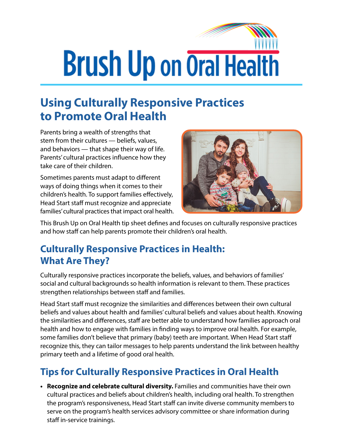## **Brush Up on Oral Health**

## **Using Culturally Responsive Practices to Promote Oral Health**

Parents bring a wealth of strengths that stem from their cultures — beliefs, values, and behaviors — that shape their way of life. Parents' cultural practices influence how they take care of their children.

Sometimes parents must adapt to different ways of doing things when it comes to their children's health. To support families effectively, Head Start staff must recognize and appreciate families' cultural practices that impact oral health.



This Brush Up on Oral Health tip sheet defines and focuses on culturally responsive practices and how staff can help parents promote their children's oral health.

## **Culturally Responsive Practices in Health: What Are They?**

Culturally responsive practices incorporate the beliefs, values, and behaviors of families' social and cultural backgrounds so health information is relevant to them. These practices strengthen relationships between staff and families.

Head Start staff must recognize the similarities and differences between their own cultural beliefs and values about health and families' cultural beliefs and values about health. Knowing the similarities and differences, staff are better able to understand how families approach oral health and how to engage with families in finding ways to improve oral health. For example, some families don't believe that primary (baby) teeth are important. When Head Start staff recognize this, they can tailor messages to help parents understand the link between healthy primary teeth and a lifetime of good oral health.

## **Tips for Culturally Responsive Practices in Oral Health**

**• Recognize and celebrate cultural diversity.** Families and communities have their own cultural practices and beliefs about children's health, including oral health. To strengthen the program's responsiveness, Head Start staff can invite diverse community members to serve on the program's health services advisory committee or share information during staff in-service trainings.